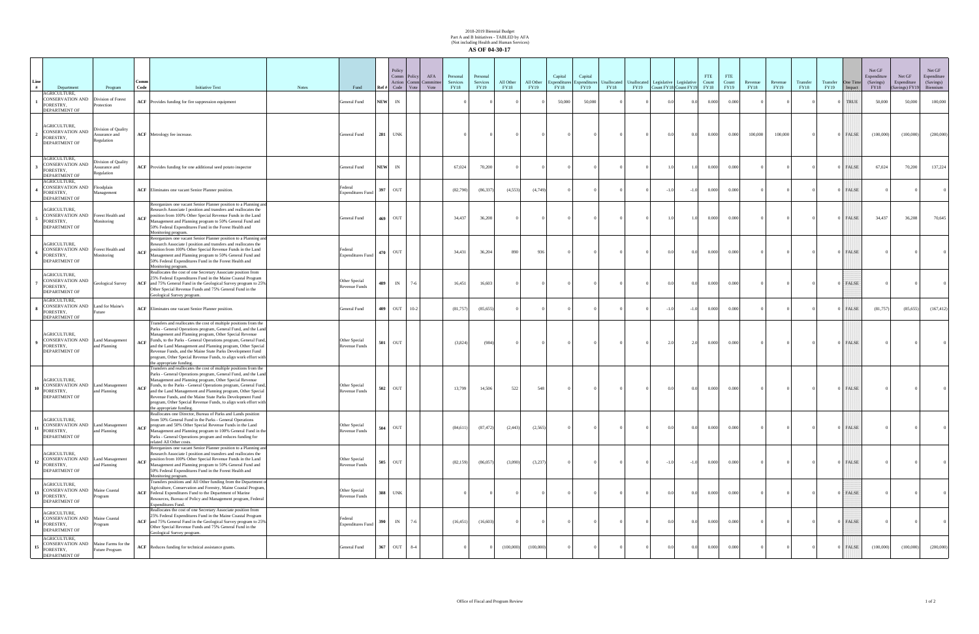## 2018-2019 Biennial Budget Part A and B Initiatives - TABLED by AFA (Not including Health and Human Services) **AS OF 04-30-17**

| Line | Department                                                                            | Program                                                 | Comm<br>Code | <b>Initiative Text</b>                                                                                                                                                                                                                                                                                                                                                                                                                                                                      | <b>Notes</b> | Fund                                            | Ref#       | Policy<br>Comm Policy<br>Action Comn<br>Code | AFA<br>Committ<br>Vote<br>Vote | Personal<br>Services<br><b>FY18</b> | Personal<br>Services<br>FY19 | All Other<br><b>FY18</b> | All Other<br>FY19 | Capital<br>Expenditures<br><b>FY18</b> | Capital<br>Expenditures<br>FY19 | <b>FY18</b> | Unallocated Unallocated Legislative Legislative | FY19 Count FY18 Count FY19 |        | <b>FTE</b><br>Count<br><b>FY18</b> | FTE<br>Count<br>FY19 | Revenue<br><b>FY18</b> | Revenue<br>FY19 | Transfer<br><b>FY18</b> | Transfer<br>FY19 | One Time<br>Impact | Net GF<br>Expenditure<br>(Savings)<br><b>FY18</b> | Net GF<br>Expenditure<br>Savings) FY19 | Net GF<br>Espenditure<br>(Savings)<br>Biennium |
|------|---------------------------------------------------------------------------------------|---------------------------------------------------------|--------------|---------------------------------------------------------------------------------------------------------------------------------------------------------------------------------------------------------------------------------------------------------------------------------------------------------------------------------------------------------------------------------------------------------------------------------------------------------------------------------------------|--------------|-------------------------------------------------|------------|----------------------------------------------|--------------------------------|-------------------------------------|------------------------------|--------------------------|-------------------|----------------------------------------|---------------------------------|-------------|-------------------------------------------------|----------------------------|--------|------------------------------------|----------------------|------------------------|-----------------|-------------------------|------------------|--------------------|---------------------------------------------------|----------------------------------------|------------------------------------------------|
|      | AGRICULTURE,<br><b>CONSERVATION AND</b><br>FORESTRY,<br><b>DEPARTMENT OF</b>          | Division of Forest<br><i>rotection</i>                  |              | <b>ACF</b> Provides funding for fire suppression equipment                                                                                                                                                                                                                                                                                                                                                                                                                                  |              | General Fund                                    | <b>NEW</b> | IN                                           |                                |                                     |                              |                          |                   | 50,000                                 | 50,000                          |             |                                                 | 0.0                        | 0.0    | 0.000                              | 0.000                |                        |                 |                         |                  | ) TRUE             | 50,000                                            | 50,000                                 | 100,000                                        |
|      | AGRICULTURE,<br><b>CONSERVATION AND</b><br>FORESTRY,<br><b>DEPARTMENT OF</b>          | Division of Quality<br>Assurance and<br>Regulation      |              | <b>ACF</b> Metrology fee increase.                                                                                                                                                                                                                                                                                                                                                                                                                                                          |              | General Fund                                    | 281        | <b>UNK</b>                                   |                                |                                     |                              |                          |                   |                                        |                                 |             |                                                 | 0.0                        | 0.0    | 0.000                              | 0.000                | 100,000                | 100,000         |                         |                  | 0 FALSE            | (100,000)                                         | (100,000)                              | (200,000)                                      |
|      | AGRICULTURE,<br><b>CONSERVATION AND</b><br>FORESTRY,<br>DEPARTMENT OF                 | ivision of Quality<br>ssurance and<br><b>Regulation</b> |              | ACF Provides funding for one additional seed potato inspector                                                                                                                                                                                                                                                                                                                                                                                                                               |              | General Fund                                    | <b>NEW</b> | IN                                           |                                | 67,024                              | 70,200                       |                          |                   |                                        |                                 |             |                                                 |                            | 1.0    | 0.000                              | 0.000                |                        |                 |                         |                  | FALSE              | 67,024                                            | 70,200                                 | 137,224                                        |
|      | AGRICULTURE,<br>CONSERVATION AND Floodplain<br>FORESTRY,<br><b>DEPARTMENT OF</b>      | Management                                              |              | ACF Eliminates one vacant Senior Planner position.                                                                                                                                                                                                                                                                                                                                                                                                                                          |              | Federal<br><b>Expenditures Fund</b>             | 397        | OUT                                          |                                | (82,790)                            | (86, 337)                    | (4,553)                  | (4,749)           |                                        |                                 |             |                                                 | $-1.0$                     | $-1.0$ | 0.000                              | 0.000                |                        |                 |                         |                  | ) FALSE            |                                                   |                                        |                                                |
|      | AGRICULTURE,<br><b>CONSERVATION AND</b><br>FORESTRY,<br><b>DEPARTMENT OF</b>          | Forest Health and<br>Monitoring                         |              | Reorganizes one vacant Senior Planner position to a Planning and<br>Research Associate I position and transfers and reallocates the<br>ACF position from 100% Other Special Revenue Funds in the Land<br>Management and Planning program to 50% General Fund and<br>50% Federal Expenditures Fund in the Forest Health and<br>Monitoring program.                                                                                                                                           |              | General Fund                                    | 469        | OUT                                          |                                | 34,437                              | 36,208                       |                          |                   |                                        |                                 |             |                                                 |                            | 1.0    | 0.000                              | 0.000                |                        |                 |                         |                  | ) FALSE            | 34,437                                            | 36,208                                 | 70,645                                         |
|      | AGRICULTURE,<br>CONSERVATION AND Forest Health and<br>FORESTRY,<br>DEPARTMENT OF      | Monitoring                                              | ACF          | Reorganizes one vacant Senior Planner position to a Planning and<br>Research Associate I position and transfers and reallocates the<br>position from 100% Other Special Revenue Funds in the Land<br>Management and Planning program to 50% General Fund and<br>50% Federal Expenditures Fund in the Forest Health and<br>Monitoring program.                                                                                                                                               |              | Federal<br><b>Expenditures Fund</b>             | 470        | OUT                                          |                                | 34,431                              | 36,204                       | 890                      | 936               |                                        |                                 |             |                                                 |                            | 0.0    | 0.000                              | 0.000                |                        |                 |                         |                  | 0 FALSE            |                                                   |                                        |                                                |
|      | AGRICULTURE,<br><b>CONSERVATION AND</b><br>FORESTRY,<br>DEPARTMENT OF                 | Geological Survey                                       |              | Reallocates the cost of one Secretary Associate position from<br>25% Federal Expenditures Fund in the Maine Coastal Program<br>ACF and 75% General Fund in the Geological Survey program to 25%<br>Other Special Revenue Funds and 75% General Fund in the<br>Geological Survey program.                                                                                                                                                                                                    |              | Other Special<br><b>Revenue Funds</b>           | 489        | IN                                           | $7 - 6$                        | 16,451                              | 16,603                       |                          |                   |                                        |                                 |             |                                                 | 0.0                        | 0.0    | 0.000                              | 0.000                |                        |                 |                         |                  | )   FALSE          |                                                   |                                        |                                                |
|      | AGRICULTURE,<br><b>CONSERVATION AND</b><br>FORESTRY,<br><b>DEPARTMENT OF</b>          | Land for Maine's<br>uture                               |              | ACF Eliminates one vacant Senior Planner position.                                                                                                                                                                                                                                                                                                                                                                                                                                          |              | General Fund                                    | 409        | OUT                                          | $10-2$                         | (81,757)                            | (85, 655)                    |                          |                   |                                        |                                 |             |                                                 | $-1.0$                     | $-1.0$ | 0.000                              | 0.000                |                        |                 |                         |                  | ) FALSE            | (81, 757)                                         | (85,655)                               | (167, 412)                                     |
|      | AGRICULTURE,<br>CONSERVATION AND Land Management<br>FORESTRY,<br>DEPARTMENT OF        | and Planning                                            | ACF          | Transfers and reallocates the cost of multiple positions from the<br>Parks - General Operations program, General Fund, and the Land<br>Management and Planning program, Other Special Revenue<br>Funds, to the Parks - General Operations program, General Fund,<br>and the Land Management and Planning program, Other Special<br>Revenue Funds, and the Maine State Parks Development Fund<br>program, Other Special Revenue Funds, to align work effort with<br>the appropriate funding. |              | Other Special<br><b>Revenue Funds</b>           | 501        | OUT                                          |                                | (3,824)                             | (984)                        |                          |                   |                                        |                                 |             |                                                 | 2.0                        | 2.0    | 0.000                              | 0.000                |                        |                 |                         |                  | 0   FALSE          |                                                   |                                        |                                                |
|      | AGRICULTURE,<br><b>CONSERVATION AND</b><br>FORESTRY,<br>DEPARTMENT OF                 | Land Management<br>and Planning                         | ACF          | Transfers and reallocates the cost of multiple positions from the<br>Parks - General Operations program, General Fund, and the Land<br>Management and Planning program, Other Special Revenue<br>Funds, to the Parks - General Operations program, General Fund,<br>and the Land Management and Planning program, Other Special<br>Revenue Funds, and the Maine State Parks Development Fund<br>program, Other Special Revenue Funds, to align work effort with<br>the appropriate funding. |              | Other Special<br><b>Revenue Funds</b>           | 502        | OUT                                          |                                | 13,799                              | 14,506                       | 522                      | 548               |                                        |                                 |             |                                                 |                            | 0.0    | 0.000                              | 0.000                |                        |                 |                         |                  | 0 FALSE            |                                                   |                                        |                                                |
|      | AGRICULTURE,<br><b>CONSERVATION AND</b> Land Management<br>FORESTRY,<br>DEPARTMENT OF | and Planning                                            | ACF          | eallocates one Director, Bureau of Parks and Lands position<br>from 50% General Fund in the Parks - General Operations<br>program and 50% Other Special Revenue Funds in the Land<br>Management and Planning program to 100% General Fund in the<br>Parks - General Operations program and reduces funding for<br>elated All Other costs.                                                                                                                                                   |              | Other Special<br><b>Revenue Funds</b>           | 504        | OUT                                          |                                | (84, 611)                           | (87, 472)                    | (2, 443)                 | (2,565)           |                                        |                                 |             | $\Omega$                                        | 0.0                        | 0.0    | 0.000                              | 0.000                | $\Omega$               | $\Omega$        |                         |                  | ) FALSE            | $\Omega$                                          |                                        | $\mathbf{0}$                                   |
|      | AGRICULTURE,<br>CONSERVATION AND Land Management<br>FORESTRY,<br>DEPARTMENT OF        | and Planning                                            | ACF          | Reorganizes one vacant Senior Planner position to a Planning and<br>Research Associate I position and transfers and reallocates the<br>position from 100% Other Special Revenue Funds in the Land<br>Management and Planning program to 50% General Fund and<br>50% Federal Expenditures Fund in the Forest Health and<br>Monitoring program.                                                                                                                                               |              | Other Special<br><b>Revenue Funds</b>           | 505        | OUT                                          |                                | (82, 159)                           | (86,057)                     | (3,090)                  | (3,237)           |                                        |                                 |             |                                                 | $-1.0$                     | $-1.0$ | 0.000                              | 0.000                |                        |                 |                         |                  | 0 FALSE            |                                                   |                                        | $\overline{0}$                                 |
|      | AGRICULTURE,<br><b>CONSERVATION AND Maine Coastal</b><br>FORESTRY,<br>DEPARTMENT OF   | rogram                                                  |              | Transfers positions and All Other funding from the Department of<br>Agriculture, Conservation and Forestry, Maine Coastal Program,<br>ACF Federal Expenditures Fund to the Department of Marine<br>Resources, Bureau of Policy and Management program, Federal<br>Expenditures Fund.                                                                                                                                                                                                        |              | Other Special<br><b>Revenue Funds</b>           | 388        | <b>UNK</b>                                   |                                |                                     |                              |                          |                   |                                        |                                 |             |                                                 | 0.0                        | 0.0    | 0.000                              | 0.000                |                        |                 |                         |                  | 0 FALSE            |                                                   |                                        | $\overline{0}$                                 |
|      | AGRICULTURE,<br><b>CONSERVATION AND Maine Coastal</b><br>FORESTRY,<br>DEPARTMENT OF   | rogram                                                  |              | Reallocates the cost of one Secretary Associate position from<br>25% Federal Expenditures Fund in the Maine Coastal Program<br>ACF and 75% General Fund in the Geological Survey program to 25%<br>Other Special Revenue Funds and 75% General Fund in the<br>Geological Survey program.                                                                                                                                                                                                    |              | <sup>7</sup> ederal<br><b>Expenditures Fund</b> | 390        | IN                                           | $7-6$                          | (16, 451)                           | (16,603)                     |                          |                   |                                        |                                 |             |                                                 | 0.0                        | 0.0    | 0.000                              | 0.000                |                        |                 |                         |                  | 0 FALSE            |                                                   |                                        |                                                |
|      | AGRICULTURE,<br>CONSERVATION AND Maine Farms for the<br>FORESTRY,<br>DEPARTMENT OF    | Future Program                                          |              | ACF Reduces funding for technical assistance grants.                                                                                                                                                                                                                                                                                                                                                                                                                                        |              | General Fund                                    | 367        | OUT                                          | $8 - 4$                        |                                     |                              | (100,000)                | (100,000)         |                                        |                                 |             |                                                 | $\Omega$                   | 0.0    | 0.000                              | 0.000                |                        |                 |                         |                  | FALSE              | (100,000)                                         | (100,000)                              | (200,000)                                      |